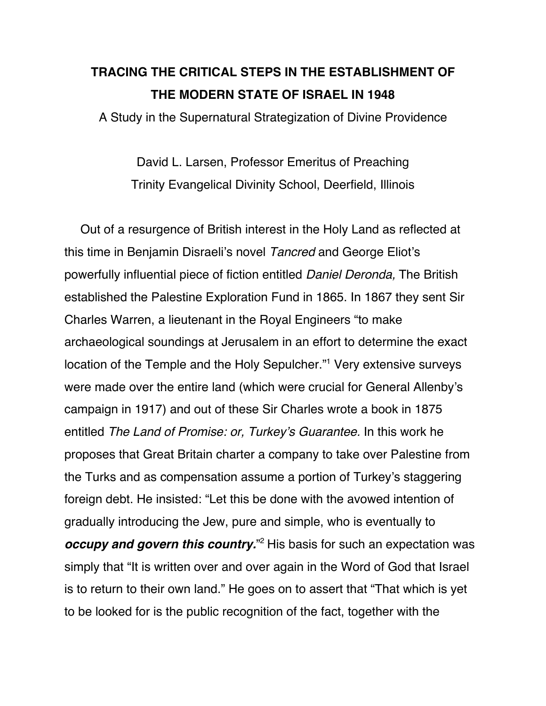# **TRACING THE CRITICAL STEPS IN THE ESTABLISHMENT OF THE MODERN STATE OF ISRAEL IN 1948**

A Study in the Supernatural Strategization of Divine Providence

David L. Larsen, Professor Emeritus of Preaching Trinity Evangelical Divinity School, Deerfield, Illinois

Out of a resurgence of British interest in the Holy Land as reflected at this time in Benjamin Disraeli's novel Tancred and George Eliot's powerfully influential piece of fiction entitled Daniel Deronda, The British established the Palestine Exploration Fund in 1865. In 1867 they sent Sir Charles Warren, a lieutenant in the Royal Engineers "to make archaeological soundings at Jerusalem in an effort to determine the exact location of the Temple and the Holy Sepulcher."1 Very extensive surveys were made over the entire land (which were crucial for General Allenby's campaign in 1917) and out of these Sir Charles wrote a book in 1875 entitled The Land of Promise: or, Turkey's Guarantee. In this work he proposes that Great Britain charter a company to take over Palestine from the Turks and as compensation assume a portion of Turkey's staggering foreign debt. He insisted: "Let this be done with the avowed intention of gradually introducing the Jew, pure and simple, who is eventually to *occupy and govern this country.* <sup>2</sup> His basis for such an expectation was simply that "It is written over and over again in the Word of God that Israel is to return to their own land." He goes on to assert that "That which is yet to be looked for is the public recognition of the fact, together with the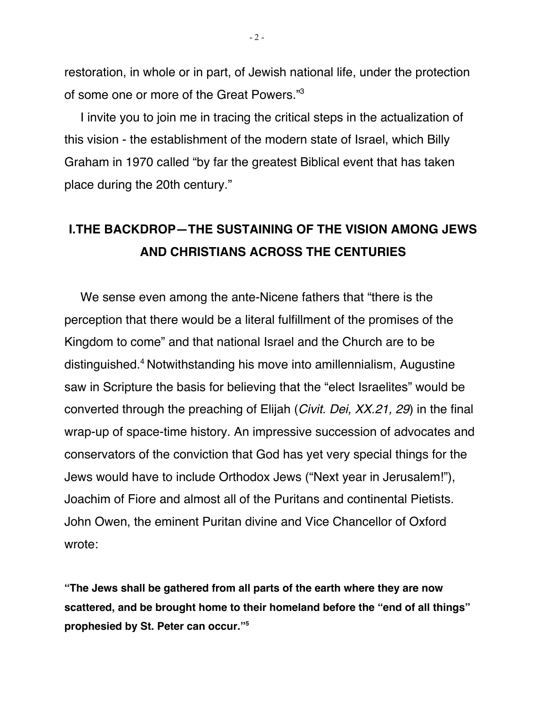restoration, in whole or in part, of Jewish national life, under the protection of some one or more of the Great Powers."3

I invite you to join me in tracing the critical steps in the actualization of this vision - the establishment of the modern state of Israel, which Billy Graham in 1970 called "by far the greatest Biblical event that has taken place during the 20th century."

## **I.THE BACKDROP—THE SUSTAINING OF THE VISION AMONG JEWS AND CHRISTIANS ACROSS THE CENTURIES**

We sense even among the ante-Nicene fathers that "there is the perception that there would be a literal fulfillment of the promises of the Kingdom to come" and that national Israel and the Church are to be distinguished.4 Notwithstanding his move into amillennialism, Augustine saw in Scripture the basis for believing that the "elect Israelites" would be converted through the preaching of Elijah (Civit. Dei, XX.21, 29) in the final wrap-up of space-time history. An impressive succession of advocates and conservators of the conviction that God has yet very special things for the Jews would have to include Orthodox Jews ("Next year in Jerusalem!"), Joachim of Fiore and almost all of the Puritans and continental Pietists. John Owen, the eminent Puritan divine and Vice Chancellor of Oxford wrote:

**"The Jews shall be gathered from all parts of the earth where they are now scattered, and be brought home to their homeland before the "end of all things" prophesied by St. Peter can occur."5**

 $-2-$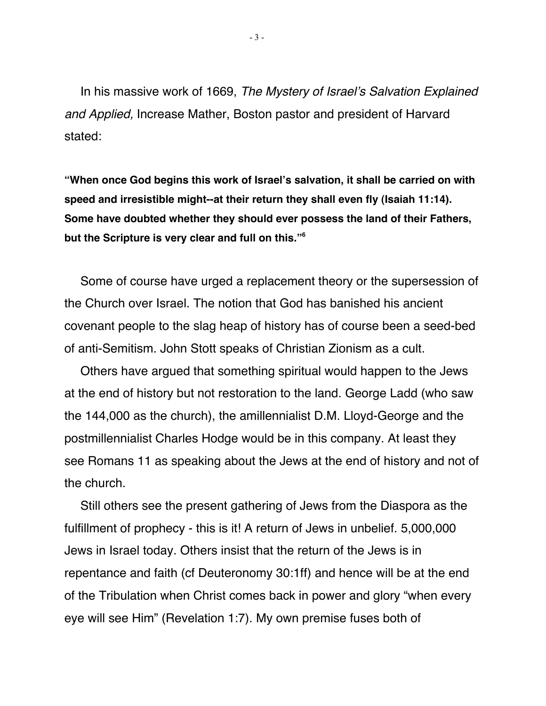In his massive work of 1669, The Mystery of Israel's Salvation Explained and Applied, Increase Mather, Boston pastor and president of Harvard stated:

**"When once God begins this work of Israel's salvation, it shall be carried on with speed and irresistible might--at their return they shall even fly (Isaiah 11:14). Some have doubted whether they should ever possess the land of their Fathers, but the Scripture is very clear and full on this."6**

Some of course have urged a replacement theory or the supersession of the Church over Israel. The notion that God has banished his ancient covenant people to the slag heap of history has of course been a seed-bed of anti-Semitism. John Stott speaks of Christian Zionism as a cult.

Others have argued that something spiritual would happen to the Jews at the end of history but not restoration to the land. George Ladd (who saw the 144,000 as the church), the amillennialist D.M. Lloyd-George and the postmillennialist Charles Hodge would be in this company. At least they see Romans 11 as speaking about the Jews at the end of history and not of the church.

Still others see the present gathering of Jews from the Diaspora as the fulfillment of prophecy - this is it! A return of Jews in unbelief. 5,000,000 Jews in Israel today. Others insist that the return of the Jews is in repentance and faith (cf Deuteronomy 30:1ff) and hence will be at the end of the Tribulation when Christ comes back in power and glory "when every eye will see Him" (Revelation 1:7). My own premise fuses both of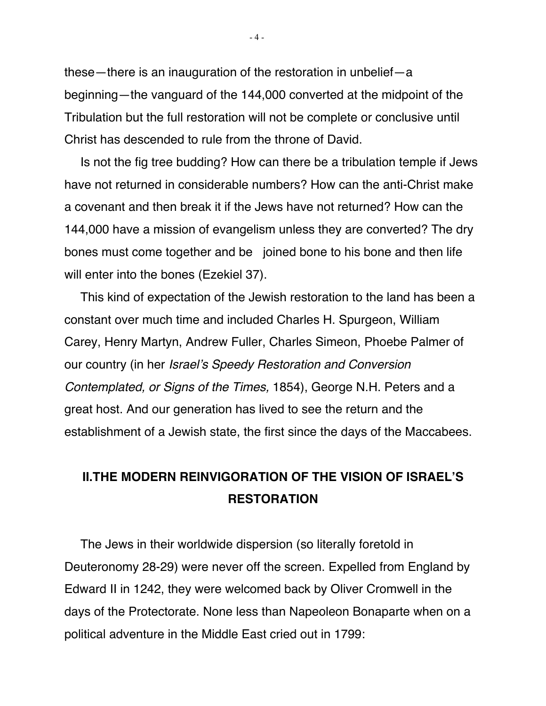these—there is an inauguration of the restoration in unbelief—a beginning—the vanguard of the 144,000 converted at the midpoint of the Tribulation but the full restoration will not be complete or conclusive until Christ has descended to rule from the throne of David.

Is not the fig tree budding? How can there be a tribulation temple if Jews have not returned in considerable numbers? How can the anti-Christ make a covenant and then break it if the Jews have not returned? How can the 144,000 have a mission of evangelism unless they are converted? The dry bones must come together and be joined bone to his bone and then life will enter into the bones (Ezekiel 37).

This kind of expectation of the Jewish restoration to the land has been a constant over much time and included Charles H. Spurgeon, William Carey, Henry Martyn, Andrew Fuller, Charles Simeon, Phoebe Palmer of our country (in her Israel's Speedy Restoration and Conversion Contemplated, or Signs of the Times, 1854), George N.H. Peters and a great host. And our generation has lived to see the return and the establishment of a Jewish state, the first since the days of the Maccabees.

## **II.THE MODERN REINVIGORATION OF THE VISION OF ISRAEL'S RESTORATION**

The Jews in their worldwide dispersion (so literally foretold in Deuteronomy 28-29) were never off the screen. Expelled from England by Edward II in 1242, they were welcomed back by Oliver Cromwell in the days of the Protectorate. None less than Napeoleon Bonaparte when on a political adventure in the Middle East cried out in 1799: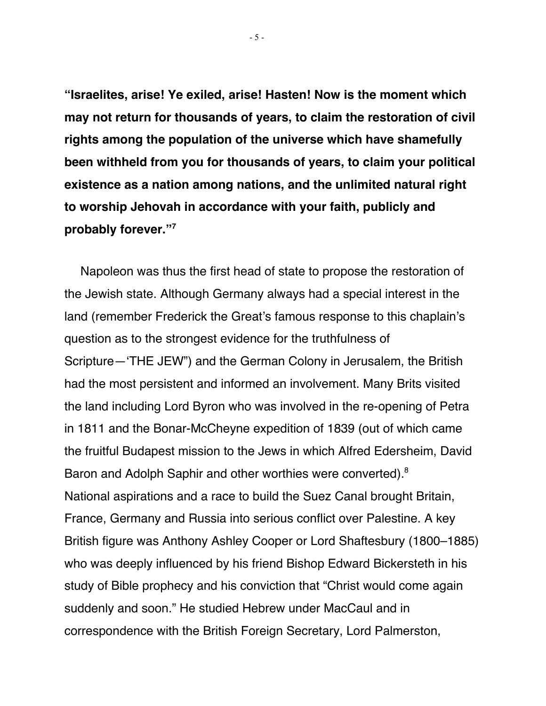**"Israelites, arise! Ye exiled, arise! Hasten! Now is the moment which may not return for thousands of years, to claim the restoration of civil rights among the population of the universe which have shamefully been withheld from you for thousands of years, to claim your political existence as a nation among nations, and the unlimited natural right to worship Jehovah in accordance with your faith, publicly and probably forever."7**

Napoleon was thus the first head of state to propose the restoration of the Jewish state. Although Germany always had a special interest in the land (remember Frederick the Great's famous response to this chaplain's question as to the strongest evidence for the truthfulness of Scripture—'THE JEW") and the German Colony in Jerusalem, the British had the most persistent and informed an involvement. Many Brits visited the land including Lord Byron who was involved in the re-opening of Petra in 1811 and the Bonar-McCheyne expedition of 1839 (out of which came the fruitful Budapest mission to the Jews in which Alfred Edersheim, David Baron and Adolph Saphir and other worthies were converted).<sup>8</sup> National aspirations and a race to build the Suez Canal brought Britain, France, Germany and Russia into serious conflict over Palestine. A key British figure was Anthony Ashley Cooper or Lord Shaftesbury (1800–1885) who was deeply influenced by his friend Bishop Edward Bickersteth in his study of Bible prophecy and his conviction that "Christ would come again suddenly and soon." He studied Hebrew under MacCaul and in correspondence with the British Foreign Secretary, Lord Palmerston,

- 5 -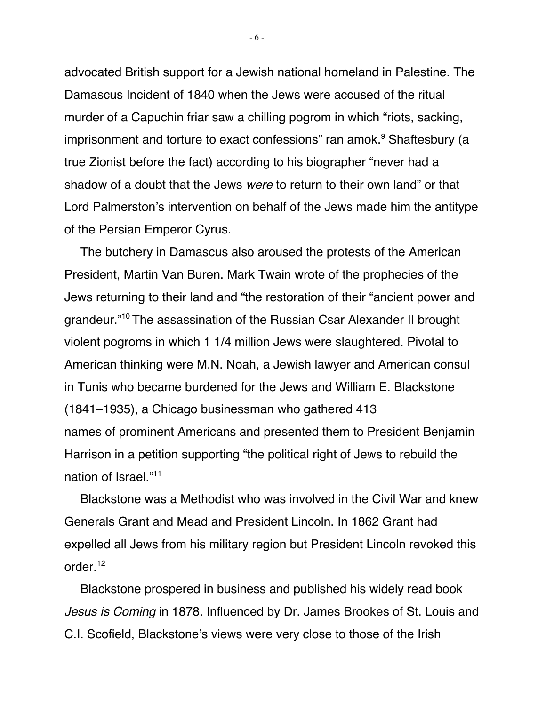advocated British support for a Jewish national homeland in Palestine. The Damascus Incident of 1840 when the Jews were accused of the ritual murder of a Capuchin friar saw a chilling pogrom in which "riots, sacking, imprisonment and torture to exact confessions" ran amok.<sup>9</sup> Shaftesbury (a true Zionist before the fact) according to his biographer "never had a shadow of a doubt that the Jews were to return to their own land" or that Lord Palmerston's intervention on behalf of the Jews made him the antitype of the Persian Emperor Cyrus.

The butchery in Damascus also aroused the protests of the American President, Martin Van Buren. Mark Twain wrote of the prophecies of the Jews returning to their land and "the restoration of their "ancient power and grandeur."10 The assassination of the Russian Csar Alexander II brought violent pogroms in which 1 1/4 million Jews were slaughtered. Pivotal to American thinking were M.N. Noah, a Jewish lawyer and American consul in Tunis who became burdened for the Jews and William E. Blackstone (1841–1935), a Chicago businessman who gathered 413 names of prominent Americans and presented them to President Benjamin Harrison in a petition supporting "the political right of Jews to rebuild the nation of Israel."11

Blackstone was a Methodist who was involved in the Civil War and knew Generals Grant and Mead and President Lincoln. In 1862 Grant had expelled all Jews from his military region but President Lincoln revoked this order.12

Blackstone prospered in business and published his widely read book Jesus is Coming in 1878. Influenced by Dr. James Brookes of St. Louis and C.I. Scofield, Blackstone's views were very close to those of the Irish

- 6 -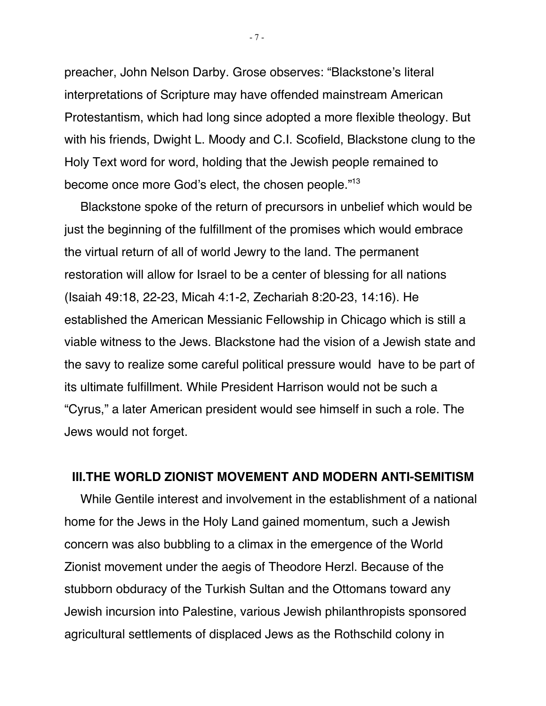preacher, John Nelson Darby. Grose observes: "Blackstone's literal interpretations of Scripture may have offended mainstream American Protestantism, which had long since adopted a more flexible theology. But with his friends, Dwight L. Moody and C.I. Scofield, Blackstone clung to the Holy Text word for word, holding that the Jewish people remained to become once more God's elect, the chosen people."<sup>13</sup>

Blackstone spoke of the return of precursors in unbelief which would be just the beginning of the fulfillment of the promises which would embrace the virtual return of all of world Jewry to the land. The permanent restoration will allow for Israel to be a center of blessing for all nations (Isaiah 49:18, 22-23, Micah 4:1-2, Zechariah 8:20-23, 14:16). He established the American Messianic Fellowship in Chicago which is still a viable witness to the Jews. Blackstone had the vision of a Jewish state and the savy to realize some careful political pressure would have to be part of its ultimate fulfillment. While President Harrison would not be such a "Cyrus," a later American president would see himself in such a role. The Jews would not forget.

#### **III.THE WORLD ZIONIST MOVEMENT AND MODERN ANTI-SEMITISM**

While Gentile interest and involvement in the establishment of a national home for the Jews in the Holy Land gained momentum, such a Jewish concern was also bubbling to a climax in the emergence of the World Zionist movement under the aegis of Theodore Herzl. Because of the stubborn obduracy of the Turkish Sultan and the Ottomans toward any Jewish incursion into Palestine, various Jewish philanthropists sponsored agricultural settlements of displaced Jews as the Rothschild colony in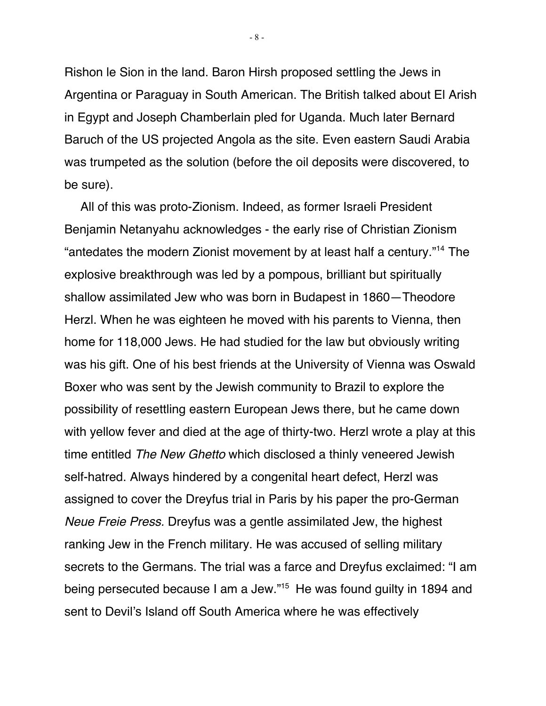Rishon le Sion in the land. Baron Hirsh proposed settling the Jews in Argentina or Paraguay in South American. The British talked about El Arish in Egypt and Joseph Chamberlain pled for Uganda. Much later Bernard Baruch of the US projected Angola as the site. Even eastern Saudi Arabia was trumpeted as the solution (before the oil deposits were discovered, to be sure).

All of this was proto-Zionism. Indeed, as former Israeli President Benjamin Netanyahu acknowledges - the early rise of Christian Zionism "antedates the modern Zionist movement by at least half a century."14 The explosive breakthrough was led by a pompous, brilliant but spiritually shallow assimilated Jew who was born in Budapest in 1860—Theodore Herzl. When he was eighteen he moved with his parents to Vienna, then home for 118,000 Jews. He had studied for the law but obviously writing was his gift. One of his best friends at the University of Vienna was Oswald Boxer who was sent by the Jewish community to Brazil to explore the possibility of resettling eastern European Jews there, but he came down with yellow fever and died at the age of thirty-two. Herzl wrote a play at this time entitled The New Ghetto which disclosed a thinly veneered Jewish self-hatred. Always hindered by a congenital heart defect, Herzl was assigned to cover the Dreyfus trial in Paris by his paper the pro-German Neue Freie Press. Dreyfus was a gentle assimilated Jew, the highest ranking Jew in the French military. He was accused of selling military secrets to the Germans. The trial was a farce and Dreyfus exclaimed: "I am being persecuted because I am a Jew."15 He was found guilty in 1894 and sent to Devil's Island off South America where he was effectively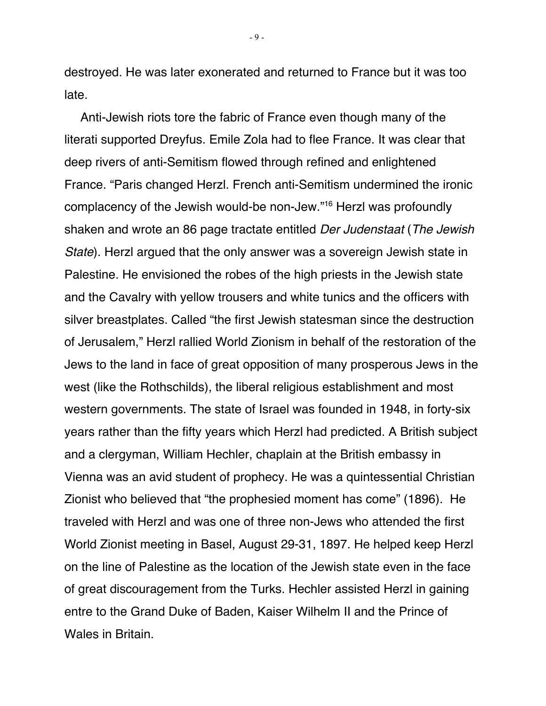destroyed. He was later exonerated and returned to France but it was too late.

Anti-Jewish riots tore the fabric of France even though many of the literati supported Dreyfus. Emile Zola had to flee France. It was clear that deep rivers of anti-Semitism flowed through refined and enlightened France. "Paris changed Herzl. French anti-Semitism undermined the ironic complacency of the Jewish would-be non-Jew."16 Herzl was profoundly shaken and wrote an 86 page tractate entitled Der Judenstaat (The Jewish State). Herzl argued that the only answer was a sovereign Jewish state in Palestine. He envisioned the robes of the high priests in the Jewish state and the Cavalry with yellow trousers and white tunics and the officers with silver breastplates. Called "the first Jewish statesman since the destruction of Jerusalem," Herzl rallied World Zionism in behalf of the restoration of the Jews to the land in face of great opposition of many prosperous Jews in the west (like the Rothschilds), the liberal religious establishment and most western governments. The state of Israel was founded in 1948, in forty-six years rather than the fifty years which Herzl had predicted. A British subject and a clergyman, William Hechler, chaplain at the British embassy in Vienna was an avid student of prophecy. He was a quintessential Christian Zionist who believed that "the prophesied moment has come" (1896). He traveled with Herzl and was one of three non-Jews who attended the first World Zionist meeting in Basel, August 29-31, 1897. He helped keep Herzl on the line of Palestine as the location of the Jewish state even in the face of great discouragement from the Turks. Hechler assisted Herzl in gaining entre to the Grand Duke of Baden, Kaiser Wilhelm II and the Prince of Wales in Britain.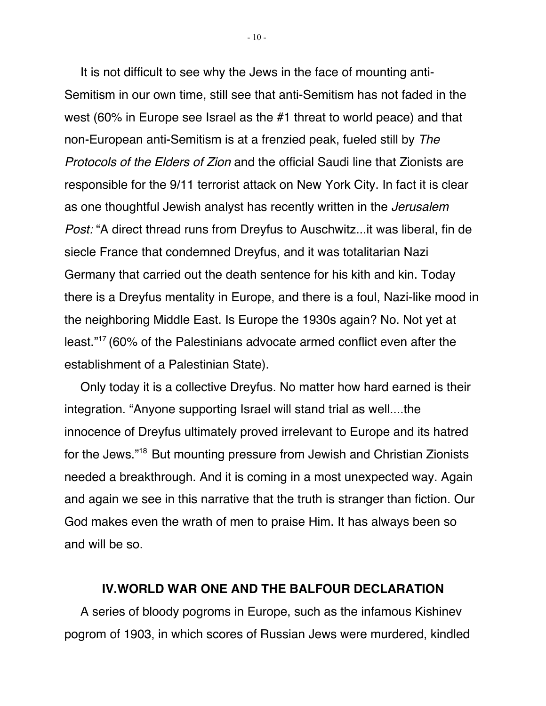It is not difficult to see why the Jews in the face of mounting anti-Semitism in our own time, still see that anti-Semitism has not faded in the west (60% in Europe see Israel as the #1 threat to world peace) and that non-European anti-Semitism is at a frenzied peak, fueled still by The Protocols of the Elders of Zion and the official Saudi line that Zionists are responsible for the 9/11 terrorist attack on New York City. In fact it is clear as one thoughtful Jewish analyst has recently written in the *Jerusalem* Post: "A direct thread runs from Dreyfus to Auschwitz...it was liberal, fin de siecle France that condemned Dreyfus, and it was totalitarian Nazi Germany that carried out the death sentence for his kith and kin. Today there is a Dreyfus mentality in Europe, and there is a foul, Nazi-like mood in the neighboring Middle East. Is Europe the 1930s again? No. Not yet at least."17 (60% of the Palestinians advocate armed conflict even after the establishment of a Palestinian State).

Only today it is a collective Dreyfus. No matter how hard earned is their integration. "Anyone supporting Israel will stand trial as well....the innocence of Dreyfus ultimately proved irrelevant to Europe and its hatred for the Jews."18 But mounting pressure from Jewish and Christian Zionists needed a breakthrough. And it is coming in a most unexpected way. Again and again we see in this narrative that the truth is stranger than fiction. Our God makes even the wrath of men to praise Him. It has always been so and will be so.

#### **IV.WORLD WAR ONE AND THE BALFOUR DECLARATION**

A series of bloody pogroms in Europe, such as the infamous Kishinev pogrom of 1903, in which scores of Russian Jews were murdered, kindled

 $-10 -$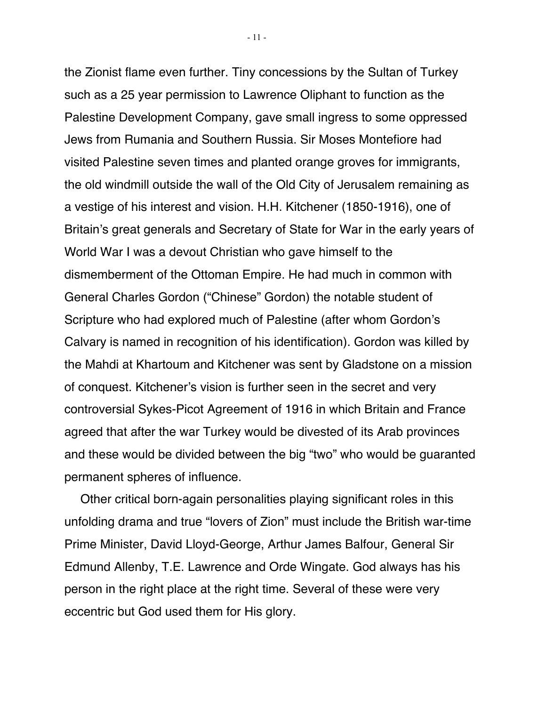the Zionist flame even further. Tiny concessions by the Sultan of Turkey such as a 25 year permission to Lawrence Oliphant to function as the Palestine Development Company, gave small ingress to some oppressed Jews from Rumania and Southern Russia. Sir Moses Montefiore had visited Palestine seven times and planted orange groves for immigrants, the old windmill outside the wall of the Old City of Jerusalem remaining as a vestige of his interest and vision. H.H. Kitchener (1850-1916), one of Britain's great generals and Secretary of State for War in the early years of World War I was a devout Christian who gave himself to the dismemberment of the Ottoman Empire. He had much in common with General Charles Gordon ("Chinese" Gordon) the notable student of Scripture who had explored much of Palestine (after whom Gordon's Calvary is named in recognition of his identification). Gordon was killed by the Mahdi at Khartoum and Kitchener was sent by Gladstone on a mission of conquest. Kitchener's vision is further seen in the secret and very controversial Sykes-Picot Agreement of 1916 in which Britain and France agreed that after the war Turkey would be divested of its Arab provinces and these would be divided between the big "two" who would be guaranted permanent spheres of influence.

Other critical born-again personalities playing significant roles in this unfolding drama and true "lovers of Zion" must include the British war-time Prime Minister, David Lloyd-George, Arthur James Balfour, General Sir Edmund Allenby, T.E. Lawrence and Orde Wingate. God always has his person in the right place at the right time. Several of these were very eccentric but God used them for His glory.

- 11 -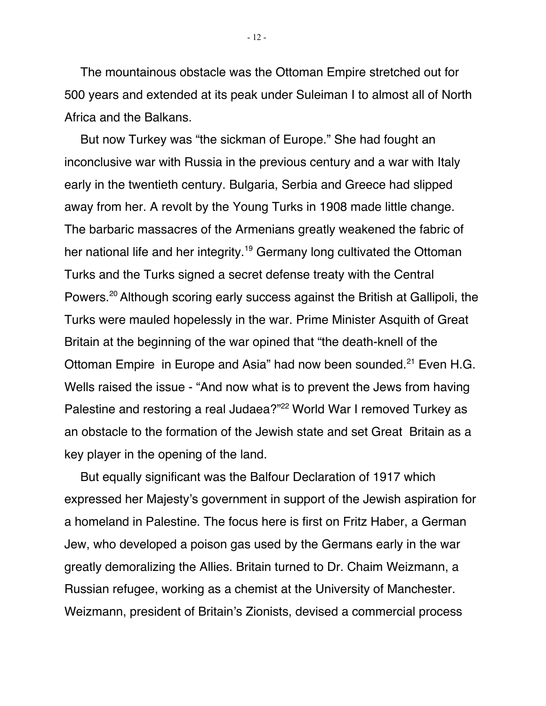The mountainous obstacle was the Ottoman Empire stretched out for 500 years and extended at its peak under Suleiman I to almost all of North Africa and the Balkans.

But now Turkey was "the sickman of Europe." She had fought an inconclusive war with Russia in the previous century and a war with Italy early in the twentieth century. Bulgaria, Serbia and Greece had slipped away from her. A revolt by the Young Turks in 1908 made little change. The barbaric massacres of the Armenians greatly weakened the fabric of her national life and her integrity.<sup>19</sup> Germany long cultivated the Ottoman Turks and the Turks signed a secret defense treaty with the Central Powers.20 Although scoring early success against the British at Gallipoli, the Turks were mauled hopelessly in the war. Prime Minister Asquith of Great Britain at the beginning of the war opined that "the death-knell of the Ottoman Empire in Europe and Asia" had now been sounded.<sup>21</sup> Even H.G. Wells raised the issue - "And now what is to prevent the Jews from having Palestine and restoring a real Judaea?"<sup>22</sup> World War I removed Turkey as an obstacle to the formation of the Jewish state and set Great Britain as a key player in the opening of the land.

But equally significant was the Balfour Declaration of 1917 which expressed her Majesty's government in support of the Jewish aspiration for a homeland in Palestine. The focus here is first on Fritz Haber, a German Jew, who developed a poison gas used by the Germans early in the war greatly demoralizing the Allies. Britain turned to Dr. Chaim Weizmann, a Russian refugee, working as a chemist at the University of Manchester. Weizmann, president of Britain's Zionists, devised a commercial process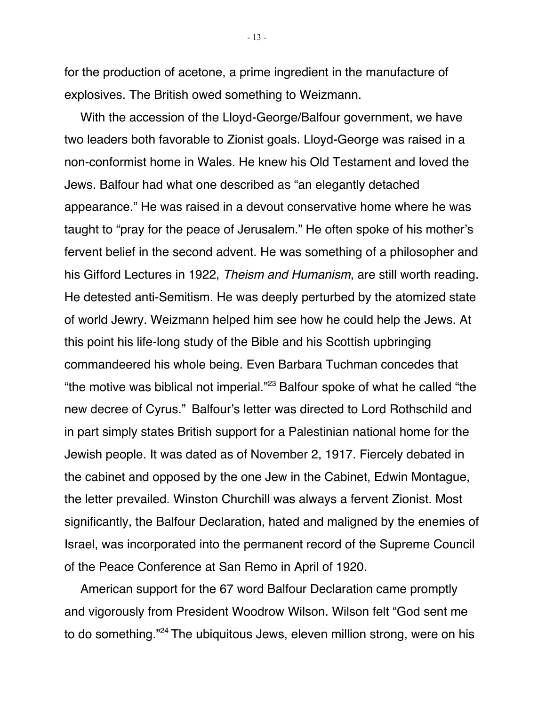for the production of acetone, a prime ingredient in the manufacture of explosives. The British owed something to Weizmann.

With the accession of the Lloyd-George/Balfour government, we have two leaders both favorable to Zionist goals. Lloyd-George was raised in a non-conformist home in Wales. He knew his Old Testament and loved the Jews. Balfour had what one described as "an elegantly detached appearance." He was raised in a devout conservative home where he was taught to "pray for the peace of Jerusalem." He often spoke of his mother's fervent belief in the second advent. He was something of a philosopher and his Gifford Lectures in 1922, Theism and Humanism, are still worth reading. He detested anti-Semitism. He was deeply perturbed by the atomized state of world Jewry. Weizmann helped him see how he could help the Jews. At this point his life-long study of the Bible and his Scottish upbringing commandeered his whole being. Even Barbara Tuchman concedes that "the motive was biblical not imperial."<sup>23</sup> Balfour spoke of what he called "the new decree of Cyrus." Balfour's letter was directed to Lord Rothschild and in part simply states British support for a Palestinian national home for the Jewish people. It was dated as of November 2, 1917. Fiercely debated in the cabinet and opposed by the one Jew in the Cabinet, Edwin Montague, the letter prevailed. Winston Churchill was always a fervent Zionist. Most significantly, the Balfour Declaration, hated and maligned by the enemies of Israel, was incorporated into the permanent record of the Supreme Council of the Peace Conference at San Remo in April of 1920.

American support for the 67 word Balfour Declaration came promptly and vigorously from President Woodrow Wilson. Wilson felt "God sent me to do something."24 The ubiquitous Jews, eleven million strong, were on his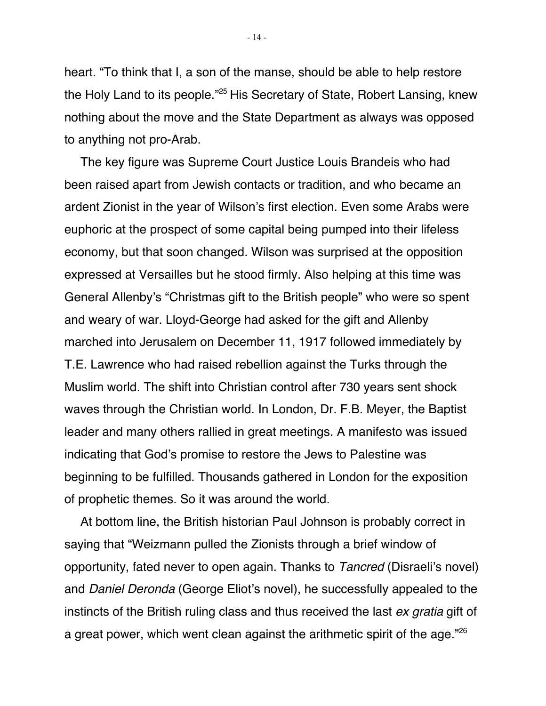heart. "To think that I, a son of the manse, should be able to help restore the Holy Land to its people."25 His Secretary of State, Robert Lansing, knew nothing about the move and the State Department as always was opposed to anything not pro-Arab.

The key figure was Supreme Court Justice Louis Brandeis who had been raised apart from Jewish contacts or tradition, and who became an ardent Zionist in the year of Wilson's first election. Even some Arabs were euphoric at the prospect of some capital being pumped into their lifeless economy, but that soon changed. Wilson was surprised at the opposition expressed at Versailles but he stood firmly. Also helping at this time was General Allenby's "Christmas gift to the British people" who were so spent and weary of war. Lloyd-George had asked for the gift and Allenby marched into Jerusalem on December 11, 1917 followed immediately by T.E. Lawrence who had raised rebellion against the Turks through the Muslim world. The shift into Christian control after 730 years sent shock waves through the Christian world. In London, Dr. F.B. Meyer, the Baptist leader and many others rallied in great meetings. A manifesto was issued indicating that God's promise to restore the Jews to Palestine was beginning to be fulfilled. Thousands gathered in London for the exposition of prophetic themes. So it was around the world.

At bottom line, the British historian Paul Johnson is probably correct in saying that "Weizmann pulled the Zionists through a brief window of opportunity, fated never to open again. Thanks to *Tancred* (Disraeli's novel) and Daniel Deronda (George Eliot's novel), he successfully appealed to the instincts of the British ruling class and thus received the last ex gratia gift of a great power, which went clean against the arithmetic spirit of the age."26

- 14 -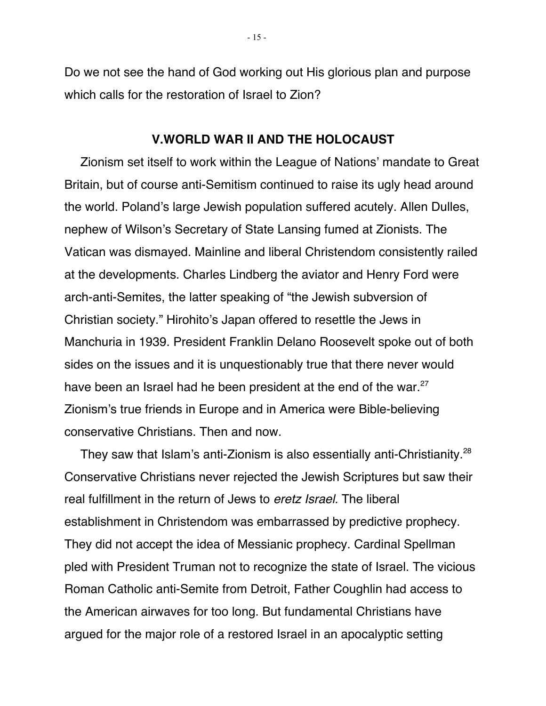Do we not see the hand of God working out His glorious plan and purpose which calls for the restoration of Israel to Zion?

#### **V.WORLD WAR II AND THE HOLOCAUST**

Zionism set itself to work within the League of Nations' mandate to Great Britain, but of course anti-Semitism continued to raise its ugly head around the world. Poland's large Jewish population suffered acutely. Allen Dulles, nephew of Wilson's Secretary of State Lansing fumed at Zionists. The Vatican was dismayed. Mainline and liberal Christendom consistently railed at the developments. Charles Lindberg the aviator and Henry Ford were arch-anti-Semites, the latter speaking of "the Jewish subversion of Christian society." Hirohito's Japan offered to resettle the Jews in Manchuria in 1939. President Franklin Delano Roosevelt spoke out of both sides on the issues and it is unquestionably true that there never would have been an Israel had he been president at the end of the war.<sup>27</sup> Zionism's true friends in Europe and in America were Bible-believing conservative Christians. Then and now.

They saw that Islam's anti-Zionism is also essentially anti-Christianity.<sup>28</sup> Conservative Christians never rejected the Jewish Scriptures but saw their real fulfillment in the return of Jews to *eretz Israel*. The liberal establishment in Christendom was embarrassed by predictive prophecy. They did not accept the idea of Messianic prophecy. Cardinal Spellman pled with President Truman not to recognize the state of Israel. The vicious Roman Catholic anti-Semite from Detroit, Father Coughlin had access to the American airwaves for too long. But fundamental Christians have argued for the major role of a restored Israel in an apocalyptic setting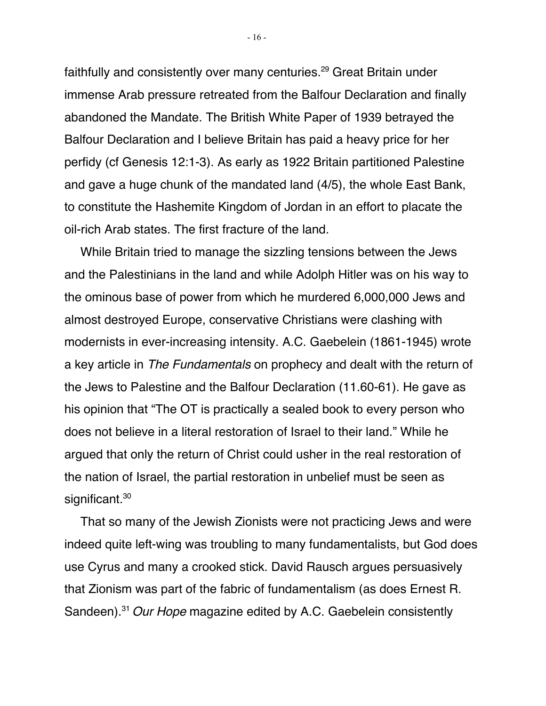faithfully and consistently over many centuries.<sup>29</sup> Great Britain under immense Arab pressure retreated from the Balfour Declaration and finally abandoned the Mandate. The British White Paper of 1939 betrayed the Balfour Declaration and I believe Britain has paid a heavy price for her perfidy (cf Genesis 12:1-3). As early as 1922 Britain partitioned Palestine and gave a huge chunk of the mandated land (4/5), the whole East Bank, to constitute the Hashemite Kingdom of Jordan in an effort to placate the oil-rich Arab states. The first fracture of the land.

While Britain tried to manage the sizzling tensions between the Jews and the Palestinians in the land and while Adolph Hitler was on his way to the ominous base of power from which he murdered 6,000,000 Jews and almost destroyed Europe, conservative Christians were clashing with modernists in ever-increasing intensity. A.C. Gaebelein (1861-1945) wrote a key article in The Fundamentals on prophecy and dealt with the return of the Jews to Palestine and the Balfour Declaration (11.60-61). He gave as his opinion that "The OT is practically a sealed book to every person who does not believe in a literal restoration of Israel to their land." While he argued that only the return of Christ could usher in the real restoration of the nation of Israel, the partial restoration in unbelief must be seen as significant.<sup>30</sup>

That so many of the Jewish Zionists were not practicing Jews and were indeed quite left-wing was troubling to many fundamentalists, but God does use Cyrus and many a crooked stick. David Rausch argues persuasively that Zionism was part of the fabric of fundamentalism (as does Ernest R. Sandeen).<sup>31</sup> Our Hope magazine edited by A.C. Gaebelein consistently

- 16 -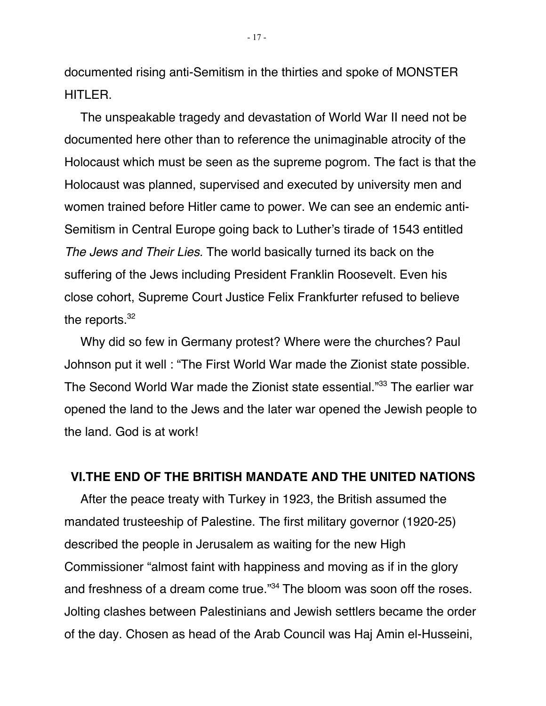documented rising anti-Semitism in the thirties and spoke of MONSTER HITLER.

The unspeakable tragedy and devastation of World War II need not be documented here other than to reference the unimaginable atrocity of the Holocaust which must be seen as the supreme pogrom. The fact is that the Holocaust was planned, supervised and executed by university men and women trained before Hitler came to power. We can see an endemic anti-Semitism in Central Europe going back to Luther's tirade of 1543 entitled The Jews and Their Lies. The world basically turned its back on the suffering of the Jews including President Franklin Roosevelt. Even his close cohort, Supreme Court Justice Felix Frankfurter refused to believe the reports.<sup>32</sup>

Why did so few in Germany protest? Where were the churches? Paul Johnson put it well : "The First World War made the Zionist state possible. The Second World War made the Zionist state essential."33 The earlier war opened the land to the Jews and the later war opened the Jewish people to the land. God is at work!

#### **VI.THE END OF THE BRITISH MANDATE AND THE UNITED NATIONS**

After the peace treaty with Turkey in 1923, the British assumed the mandated trusteeship of Palestine. The first military governor (1920-25) described the people in Jerusalem as waiting for the new High Commissioner "almost faint with happiness and moving as if in the glory and freshness of a dream come true."34 The bloom was soon off the roses. Jolting clashes between Palestinians and Jewish settlers became the order of the day. Chosen as head of the Arab Council was Haj Amin el-Husseini,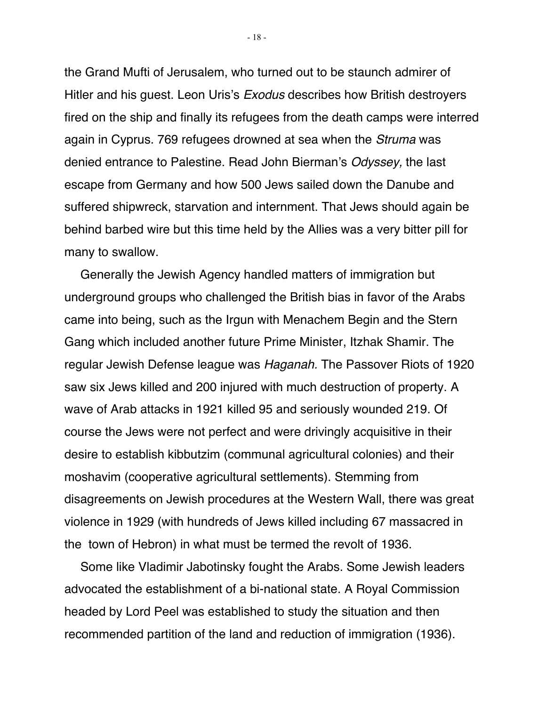the Grand Mufti of Jerusalem, who turned out to be staunch admirer of Hitler and his guest. Leon Uris's Exodus describes how British destroyers fired on the ship and finally its refugees from the death camps were interred again in Cyprus. 769 refugees drowned at sea when the Struma was denied entrance to Palestine. Read John Bierman's Odyssey, the last escape from Germany and how 500 Jews sailed down the Danube and suffered shipwreck, starvation and internment. That Jews should again be behind barbed wire but this time held by the Allies was a very bitter pill for many to swallow.

Generally the Jewish Agency handled matters of immigration but underground groups who challenged the British bias in favor of the Arabs came into being, such as the Irgun with Menachem Begin and the Stern Gang which included another future Prime Minister, Itzhak Shamir. The regular Jewish Defense league was Haganah. The Passover Riots of 1920 saw six Jews killed and 200 injured with much destruction of property. A wave of Arab attacks in 1921 killed 95 and seriously wounded 219. Of course the Jews were not perfect and were drivingly acquisitive in their desire to establish kibbutzim (communal agricultural colonies) and their moshavim (cooperative agricultural settlements). Stemming from disagreements on Jewish procedures at the Western Wall, there was great violence in 1929 (with hundreds of Jews killed including 67 massacred in the town of Hebron) in what must be termed the revolt of 1936.

Some like Vladimir Jabotinsky fought the Arabs. Some Jewish leaders advocated the establishment of a bi-national state. A Royal Commission headed by Lord Peel was established to study the situation and then recommended partition of the land and reduction of immigration (1936).

- 18 -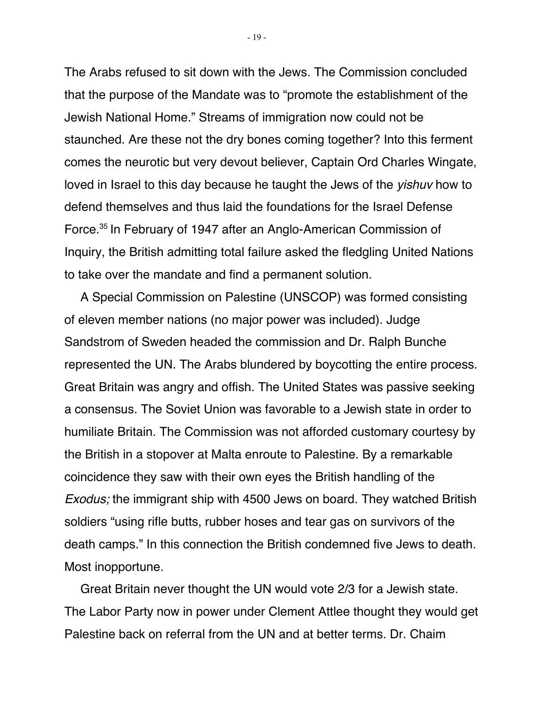The Arabs refused to sit down with the Jews. The Commission concluded that the purpose of the Mandate was to "promote the establishment of the Jewish National Home." Streams of immigration now could not be staunched. Are these not the dry bones coming together? Into this ferment comes the neurotic but very devout believer, Captain Ord Charles Wingate, loved in Israel to this day because he taught the Jews of the yishuv how to defend themselves and thus laid the foundations for the Israel Defense Force.35 In February of 1947 after an Anglo-American Commission of Inquiry, the British admitting total failure asked the fledgling United Nations to take over the mandate and find a permanent solution.

A Special Commission on Palestine (UNSCOP) was formed consisting of eleven member nations (no major power was included). Judge Sandstrom of Sweden headed the commission and Dr. Ralph Bunche represented the UN. The Arabs blundered by boycotting the entire process. Great Britain was angry and offish. The United States was passive seeking a consensus. The Soviet Union was favorable to a Jewish state in order to humiliate Britain. The Commission was not afforded customary courtesy by the British in a stopover at Malta enroute to Palestine. By a remarkable coincidence they saw with their own eyes the British handling of the Exodus; the immigrant ship with 4500 Jews on board. They watched British soldiers "using rifle butts, rubber hoses and tear gas on survivors of the death camps." In this connection the British condemned five Jews to death. Most inopportune.

Great Britain never thought the UN would vote 2/3 for a Jewish state. The Labor Party now in power under Clement Attlee thought they would get Palestine back on referral from the UN and at better terms. Dr. Chaim

- 19 -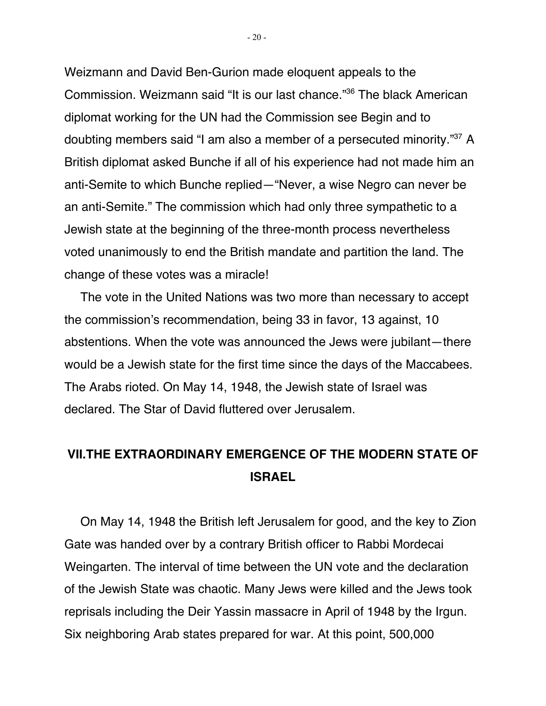Weizmann and David Ben-Gurion made eloquent appeals to the Commission. Weizmann said "It is our last chance."36 The black American diplomat working for the UN had the Commission see Begin and to doubting members said "I am also a member of a persecuted minority."37 A British diplomat asked Bunche if all of his experience had not made him an anti-Semite to which Bunche replied—"Never, a wise Negro can never be an anti-Semite." The commission which had only three sympathetic to a Jewish state at the beginning of the three-month process nevertheless voted unanimously to end the British mandate and partition the land. The change of these votes was a miracle!

The vote in the United Nations was two more than necessary to accept the commission's recommendation, being 33 in favor, 13 against, 10 abstentions. When the vote was announced the Jews were jubilant—there would be a Jewish state for the first time since the days of the Maccabees. The Arabs rioted. On May 14, 1948, the Jewish state of Israel was declared. The Star of David fluttered over Jerusalem.

# **VII.THE EXTRAORDINARY EMERGENCE OF THE MODERN STATE OF ISRAEL**

On May 14, 1948 the British left Jerusalem for good, and the key to Zion Gate was handed over by a contrary British officer to Rabbi Mordecai Weingarten. The interval of time between the UN vote and the declaration of the Jewish State was chaotic. Many Jews were killed and the Jews took reprisals including the Deir Yassin massacre in April of 1948 by the Irgun. Six neighboring Arab states prepared for war. At this point, 500,000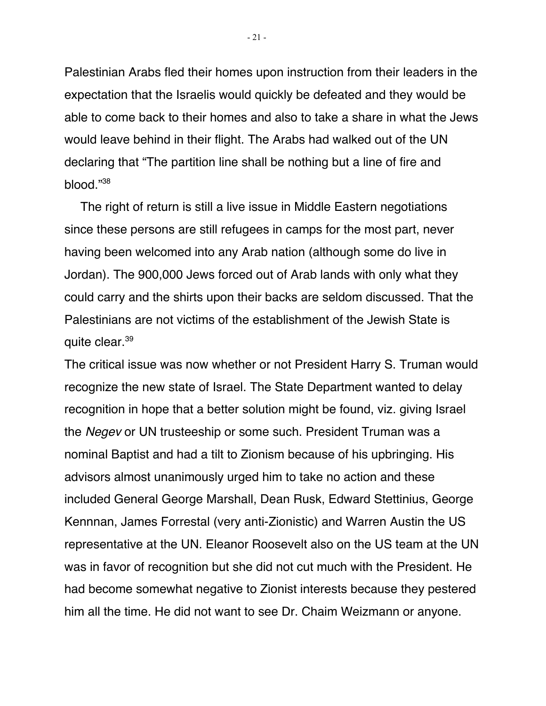Palestinian Arabs fled their homes upon instruction from their leaders in the expectation that the Israelis would quickly be defeated and they would be able to come back to their homes and also to take a share in what the Jews would leave behind in their flight. The Arabs had walked out of the UN declaring that "The partition line shall be nothing but a line of fire and blood."38

The right of return is still a live issue in Middle Eastern negotiations since these persons are still refugees in camps for the most part, never having been welcomed into any Arab nation (although some do live in Jordan). The 900,000 Jews forced out of Arab lands with only what they could carry and the shirts upon their backs are seldom discussed. That the Palestinians are not victims of the establishment of the Jewish State is quite clear.39

The critical issue was now whether or not President Harry S. Truman would recognize the new state of Israel. The State Department wanted to delay recognition in hope that a better solution might be found, viz. giving Israel the Negev or UN trusteeship or some such. President Truman was a nominal Baptist and had a tilt to Zionism because of his upbringing. His advisors almost unanimously urged him to take no action and these included General George Marshall, Dean Rusk, Edward Stettinius, George Kennnan, James Forrestal (very anti-Zionistic) and Warren Austin the US representative at the UN. Eleanor Roosevelt also on the US team at the UN was in favor of recognition but she did not cut much with the President. He had become somewhat negative to Zionist interests because they pestered him all the time. He did not want to see Dr. Chaim Weizmann or anyone.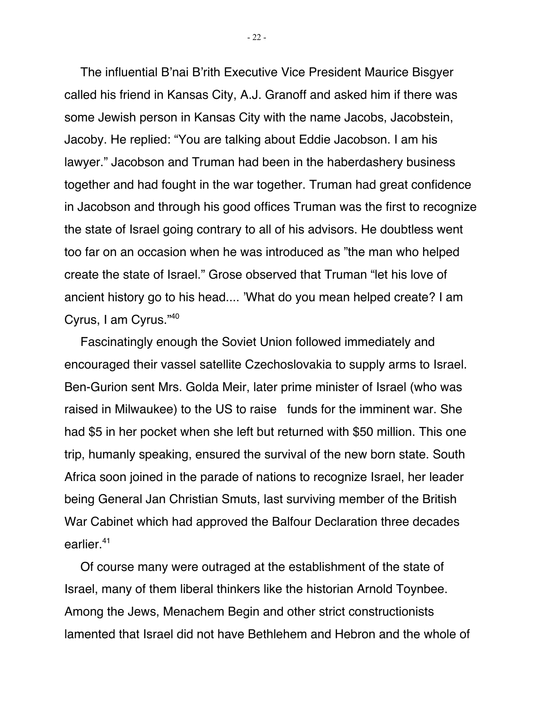The influential B'nai B'rith Executive Vice President Maurice Bisgyer called his friend in Kansas City, A.J. Granoff and asked him if there was some Jewish person in Kansas City with the name Jacobs, Jacobstein, Jacoby. He replied: "You are talking about Eddie Jacobson. I am his lawyer." Jacobson and Truman had been in the haberdashery business together and had fought in the war together. Truman had great confidence in Jacobson and through his good offices Truman was the first to recognize the state of Israel going contrary to all of his advisors. He doubtless went too far on an occasion when he was introduced as "the man who helped create the state of Israel." Grose observed that Truman "let his love of ancient history go to his head.... 'What do you mean helped create? I am Cyrus, I am Cyrus."40

Fascinatingly enough the Soviet Union followed immediately and encouraged their vassel satellite Czechoslovakia to supply arms to Israel. Ben-Gurion sent Mrs. Golda Meir, later prime minister of Israel (who was raised in Milwaukee) to the US to raise funds for the imminent war. She had \$5 in her pocket when she left but returned with \$50 million. This one trip, humanly speaking, ensured the survival of the new born state. South Africa soon joined in the parade of nations to recognize Israel, her leader being General Jan Christian Smuts, last surviving member of the British War Cabinet which had approved the Balfour Declaration three decades earlier.41

Of course many were outraged at the establishment of the state of Israel, many of them liberal thinkers like the historian Arnold Toynbee. Among the Jews, Menachem Begin and other strict constructionists lamented that Israel did not have Bethlehem and Hebron and the whole of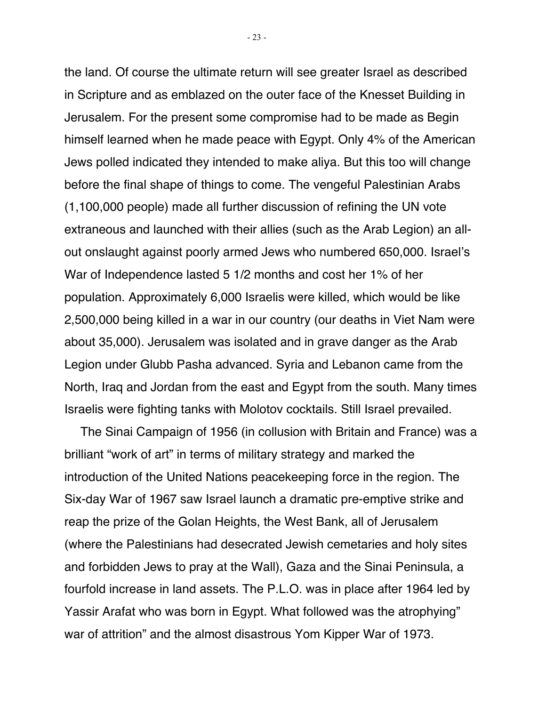the land. Of course the ultimate return will see greater Israel as described in Scripture and as emblazed on the outer face of the Knesset Building in Jerusalem. For the present some compromise had to be made as Begin himself learned when he made peace with Egypt. Only 4% of the American Jews polled indicated they intended to make aliya. But this too will change before the final shape of things to come. The vengeful Palestinian Arabs (1,100,000 people) made all further discussion of refining the UN vote extraneous and launched with their allies (such as the Arab Legion) an allout onslaught against poorly armed Jews who numbered 650,000. Israel's War of Independence lasted 5 1/2 months and cost her 1% of her population. Approximately 6,000 Israelis were killed, which would be like 2,500,000 being killed in a war in our country (our deaths in Viet Nam were about 35,000). Jerusalem was isolated and in grave danger as the Arab Legion under Glubb Pasha advanced. Syria and Lebanon came from the North, Iraq and Jordan from the east and Egypt from the south. Many times Israelis were fighting tanks with Molotov cocktails. Still Israel prevailed.

The Sinai Campaign of 1956 (in collusion with Britain and France) was a brilliant "work of art" in terms of military strategy and marked the introduction of the United Nations peacekeeping force in the region. The Six-day War of 1967 saw Israel launch a dramatic pre-emptive strike and reap the prize of the Golan Heights, the West Bank, all of Jerusalem (where the Palestinians had desecrated Jewish cemetaries and holy sites and forbidden Jews to pray at the Wall), Gaza and the Sinai Peninsula, a fourfold increase in land assets. The P.L.O. was in place after 1964 led by Yassir Arafat who was born in Egypt. What followed was the atrophying" war of attrition" and the almost disastrous Yom Kipper War of 1973.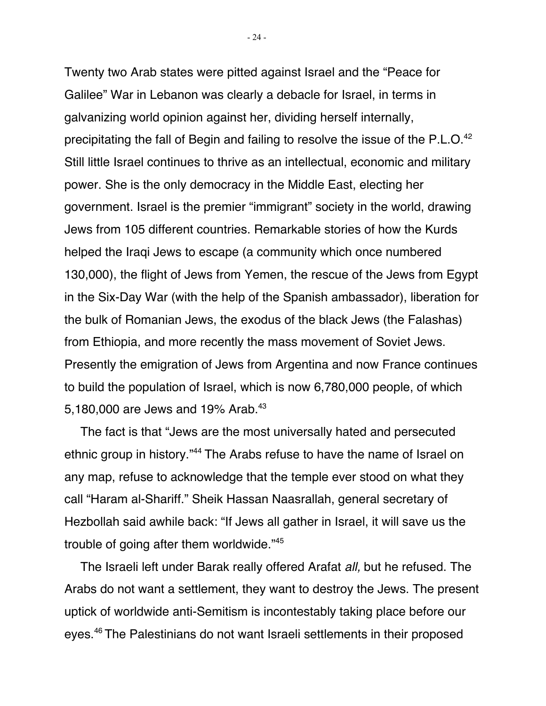Twenty two Arab states were pitted against Israel and the "Peace for Galilee" War in Lebanon was clearly a debacle for Israel, in terms in galvanizing world opinion against her, dividing herself internally, precipitating the fall of Begin and failing to resolve the issue of the P.L.O.<sup>42</sup> Still little Israel continues to thrive as an intellectual, economic and military power. She is the only democracy in the Middle East, electing her government. Israel is the premier "immigrant" society in the world, drawing Jews from 105 different countries. Remarkable stories of how the Kurds helped the Iraqi Jews to escape (a community which once numbered 130,000), the flight of Jews from Yemen, the rescue of the Jews from Egypt in the Six-Day War (with the help of the Spanish ambassador), liberation for the bulk of Romanian Jews, the exodus of the black Jews (the Falashas) from Ethiopia, and more recently the mass movement of Soviet Jews. Presently the emigration of Jews from Argentina and now France continues to build the population of Israel, which is now 6,780,000 people, of which 5,180,000 are Jews and 19% Arab.<sup>43</sup>

The fact is that "Jews are the most universally hated and persecuted ethnic group in history."44 The Arabs refuse to have the name of Israel on any map, refuse to acknowledge that the temple ever stood on what they call "Haram al-Shariff." Sheik Hassan Naasrallah, general secretary of Hezbollah said awhile back: "If Jews all gather in Israel, it will save us the trouble of going after them worldwide."45

The Israeli left under Barak really offered Arafat all, but he refused. The Arabs do not want a settlement, they want to destroy the Jews. The present uptick of worldwide anti-Semitism is incontestably taking place before our eyes.46 The Palestinians do not want Israeli settlements in their proposed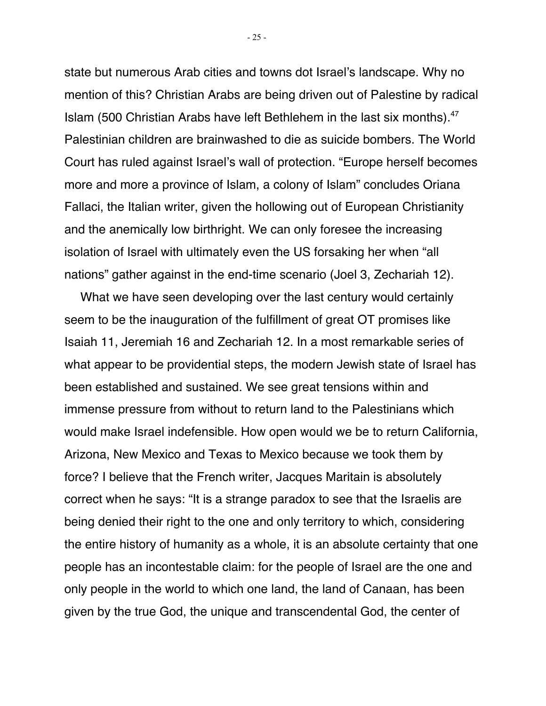state but numerous Arab cities and towns dot Israel's landscape. Why no mention of this? Christian Arabs are being driven out of Palestine by radical Islam (500 Christian Arabs have left Bethlehem in the last six months).47 Palestinian children are brainwashed to die as suicide bombers. The World Court has ruled against Israel's wall of protection. "Europe herself becomes more and more a province of Islam, a colony of Islam" concludes Oriana Fallaci, the Italian writer, given the hollowing out of European Christianity and the anemically low birthright. We can only foresee the increasing isolation of Israel with ultimately even the US forsaking her when "all nations" gather against in the end-time scenario (Joel 3, Zechariah 12).

What we have seen developing over the last century would certainly seem to be the inauguration of the fulfillment of great OT promises like Isaiah 11, Jeremiah 16 and Zechariah 12. In a most remarkable series of what appear to be providential steps, the modern Jewish state of Israel has been established and sustained. We see great tensions within and immense pressure from without to return land to the Palestinians which would make Israel indefensible. How open would we be to return California, Arizona, New Mexico and Texas to Mexico because we took them by force? I believe that the French writer, Jacques Maritain is absolutely correct when he says: "It is a strange paradox to see that the Israelis are being denied their right to the one and only territory to which, considering the entire history of humanity as a whole, it is an absolute certainty that one people has an incontestable claim: for the people of Israel are the one and only people in the world to which one land, the land of Canaan, has been given by the true God, the unique and transcendental God, the center of

 $-25 -$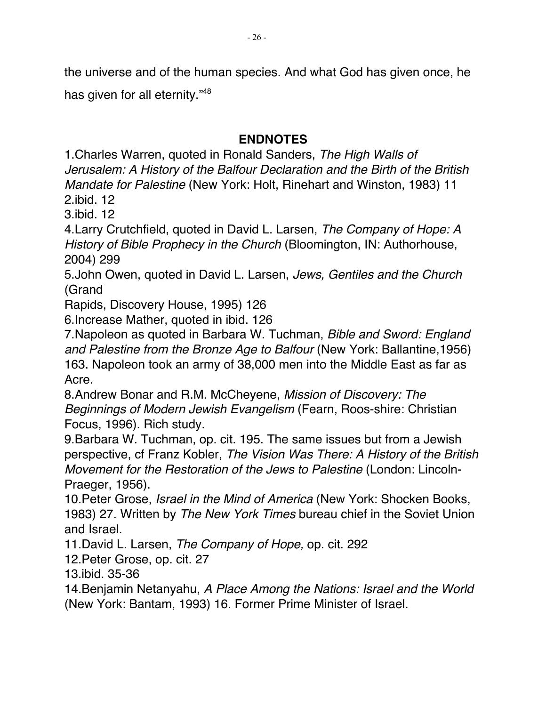the universe and of the human species. And what God has given once, he

has given for all eternity."48

### **ENDNOTES**

1.Charles Warren, quoted in Ronald Sanders, The High Walls of Jerusalem: A History of the Balfour Declaration and the Birth of the British Mandate for Palestine (New York: Holt, Rinehart and Winston, 1983) 11

2.ibid. 12

3.ibid. 12

4. Larry Crutchfield, quoted in David L. Larsen, The Company of Hope: A History of Bible Prophecy in the Church (Bloomington, IN: Authorhouse, 2004) 299

5.John Owen, quoted in David L. Larsen, Jews, Gentiles and the Church (Grand

Rapids, Discovery House, 1995) 126

6.Increase Mather, quoted in ibid. 126

7.Napoleon as quoted in Barbara W. Tuchman, Bible and Sword: England and Palestine from the Bronze Age to Balfour (New York: Ballantine,1956) 163. Napoleon took an army of 38,000 men into the Middle East as far as Acre.

8.Andrew Bonar and R.M. McCheyene, Mission of Discovery: The Beginnings of Modern Jewish Evangelism (Fearn, Roos-shire: Christian Focus, 1996). Rich study.

9.Barbara W. Tuchman, op. cit. 195. The same issues but from a Jewish perspective, cf Franz Kobler, The Vision Was There: A History of the British Movement for the Restoration of the Jews to Palestine (London: Lincoln-Praeger, 1956).

10.Peter Grose, Israel in the Mind of America (New York: Shocken Books, 1983) 27. Written by The New York Times bureau chief in the Soviet Union and Israel.

11. David L. Larsen, The Company of Hope, op. cit. 292

12.Peter Grose, op. cit. 27

13.ibid. 35-36

14.Benjamin Netanyahu, A Place Among the Nations: Israel and the World (New York: Bantam, 1993) 16. Former Prime Minister of Israel.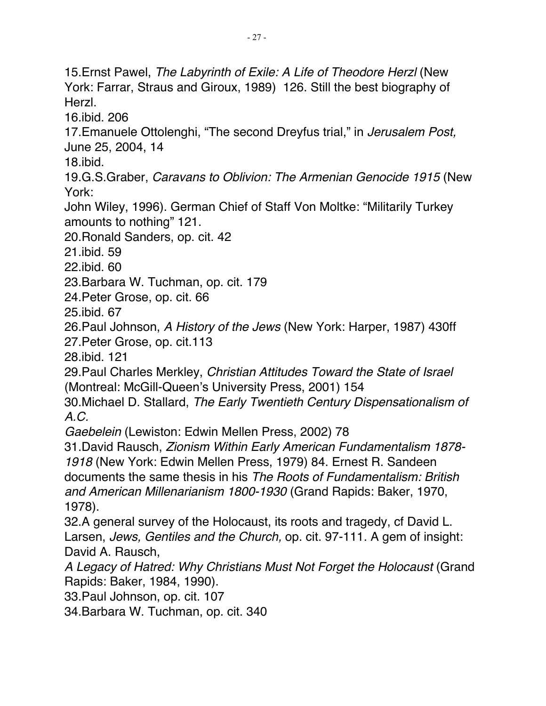15. Ernst Pawel, The Labyrinth of Exile: A Life of Theodore Herzl (New York: Farrar, Straus and Giroux, 1989) 126. Still the best biography of Herzl. 16.ibid. 206 17. Emanuele Ottolenghi, "The second Dreyfus trial," in *Jerusalem Post*, June 25, 2004, 14 18.ibid. 19.G.S.Graber, Caravans to Oblivion: The Armenian Genocide 1915 (New York: John Wiley, 1996). German Chief of Staff Von Moltke: "Militarily Turkey amounts to nothing" 121. 20.Ronald Sanders, op. cit. 42 21.ibid. 59 22.ibid. 60 23.Barbara W. Tuchman, op. cit. 179 24.Peter Grose, op. cit. 66 25.ibid. 67 26.Paul Johnson, A History of the Jews (New York: Harper, 1987) 430ff 27.Peter Grose, op. cit.113 28.ibid. 121 29.Paul Charles Merkley, Christian Attitudes Toward the State of Israel (Montreal: McGill-Queen's University Press, 2001) 154 30.Michael D. Stallard, The Early Twentieth Century Dispensationalism of A.C. Gaebelein (Lewiston: Edwin Mellen Press, 2002) 78 31.David Rausch, Zionism Within Early American Fundamentalism 1878- 1918 (New York: Edwin Mellen Press, 1979) 84. Ernest R. Sandeen documents the same thesis in his The Roots of Fundamentalism: British and American Millenarianism 1800-1930 (Grand Rapids: Baker, 1970, 1978). 32.A general survey of the Holocaust, its roots and tragedy, cf David L. Larsen, Jews, Gentiles and the Church, op. cit. 97-111. A gem of insight: David A. Rausch, A Legacy of Hatred: Why Christians Must Not Forget the Holocaust (Grand Rapids: Baker, 1984, 1990). 33.Paul Johnson, op. cit. 107 34.Barbara W. Tuchman, op. cit. 340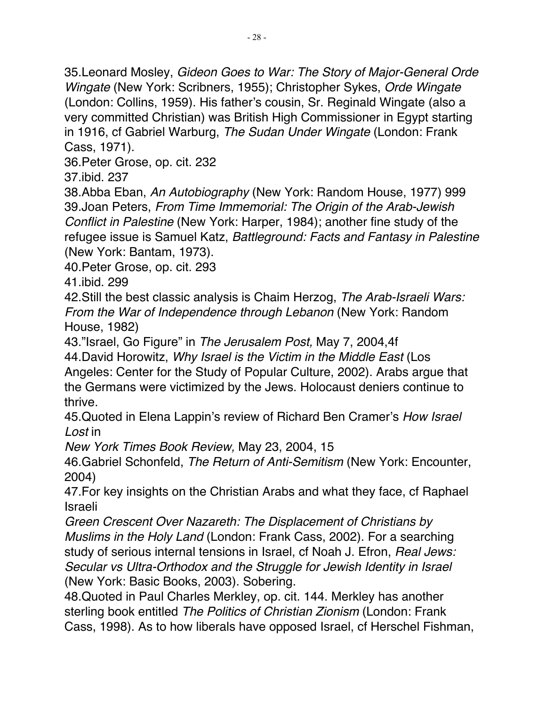35.Leonard Mosley, Gideon Goes to War: The Story of Major-General Orde Wingate (New York: Scribners, 1955); Christopher Sykes, Orde Wingate (London: Collins, 1959). His father's cousin, Sr. Reginald Wingate (also a very committed Christian) was British High Commissioner in Egypt starting in 1916, cf Gabriel Warburg, The Sudan Under Wingate (London: Frank Cass, 1971).

36.Peter Grose, op. cit. 232

37.ibid. 237

38.Abba Eban, An Autobiography (New York: Random House, 1977) 999 39.Joan Peters, From Time Immemorial: The Origin of the Arab-Jewish Conflict in Palestine (New York: Harper, 1984); another fine study of the refugee issue is Samuel Katz, Battleground: Facts and Fantasy in Palestine (New York: Bantam, 1973).

40.Peter Grose, op. cit. 293

41.ibid. 299

42.Still the best classic analysis is Chaim Herzog, The Arab-Israeli Wars: From the War of Independence through Lebanon (New York: Random House, 1982)

43."Israel, Go Figure" in The Jerusalem Post, May 7, 2004,4f

44.David Horowitz, Why Israel is the Victim in the Middle East (Los Angeles: Center for the Study of Popular Culture, 2002). Arabs argue that

the Germans were victimized by the Jews. Holocaust deniers continue to thrive.

45.Quoted in Elena Lappin's review of Richard Ben Cramer's How Israel Lost in

New York Times Book Review, May 23, 2004, 15

46.Gabriel Schonfeld, The Return of Anti-Semitism (New York: Encounter, 2004)

47.For key insights on the Christian Arabs and what they face, cf Raphael Israeli

Green Crescent Over Nazareth: The Displacement of Christians by Muslims in the Holy Land (London: Frank Cass, 2002). For a searching study of serious internal tensions in Israel, cf Noah J. Efron, Real Jews: Secular vs Ultra-Orthodox and the Struggle for Jewish Identity in Israel (New York: Basic Books, 2003). Sobering.

48.Quoted in Paul Charles Merkley, op. cit. 144. Merkley has another sterling book entitled The Politics of Christian Zionism (London: Frank Cass, 1998). As to how liberals have opposed Israel, cf Herschel Fishman,